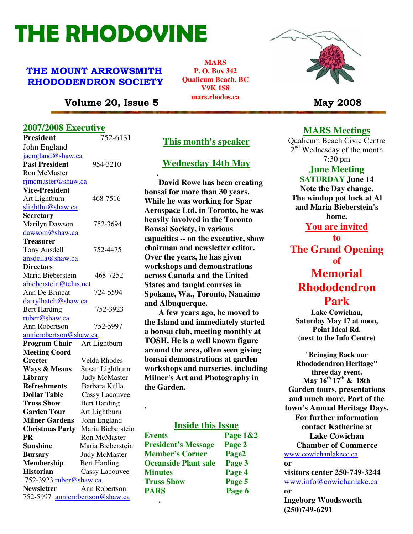# THE RHODOVINE

# THE MOUNT ARROWSMITH RHODODENDRON SOCIETY

**MARS P. O. Box 342 Qualicum Beach. BC V9K 1S8 mars.rhodos.ca** 



# Volume 20, Issue 5 May 2008

# **2007/2008 Executive**

| <b>President</b>                | 752-6131                          | <b>This month's speaker</b>          |               |
|---------------------------------|-----------------------------------|--------------------------------------|---------------|
| John England                    |                                   |                                      |               |
| jaengland@shaw.ca               |                                   |                                      |               |
| <b>Past President</b>           | 954-3210                          | <b>Wednesday 14th May</b>            |               |
| <b>Ron McMaster</b>             |                                   |                                      |               |
| rjmcmaster@shaw.ca              |                                   | David Rowe has been crea             |               |
| <b>Vice-President</b>           |                                   | bonsai for more than 30 years.       |               |
| Art Lightburn                   | 468-7516                          | While he was working for Spa         |               |
| slightbu@shaw.ca                |                                   | <b>Aerospace Ltd. in Toronto, he</b> |               |
| <b>Secretary</b>                |                                   | heavily involved in the Toront       |               |
| <b>Marilyn Dawson</b>           | 752-3694                          | <b>Bonsai Society, in various</b>    |               |
| dawsom@shaw.ca                  |                                   |                                      |               |
| <b>Treasurer</b>                |                                   | capacities -- on the executive, s    |               |
| Tony Ansdell                    | 752-4475                          | chairman and newsletter edito        |               |
| ansdella@shaw.ca                |                                   | Over the years, he has given         |               |
| <b>Directors</b>                |                                   | workshops and demonstration          |               |
| Maria Bieberstein               | 468-7252                          | across Canada and the United         |               |
| abieberstein@telus.net          |                                   | <b>States and taught courses in</b>  |               |
| Ann De Brincat                  | 724-5594                          | Spokane, Wa., Toronto, Nanai         |               |
| darrylhatch@shaw.ca             |                                   | and Albuquerque.                     |               |
| <b>Bert Harding</b>             | 752-3923                          | A few years ago, he moved            |               |
| ruber@shaw.ca                   |                                   | the Island and immediately sta       |               |
| Ann Robertson                   | 752-5997                          | a bonsai club, meeting monthly       |               |
| annierobertson@shaw.ca          |                                   | TOSH. He is a well known figu        |               |
| <b>Program Chair</b>            | Art Lightburn                     | around the area, often seen giv      |               |
| <b>Meeting Coord</b>            |                                   | bonsai demonstrations at gard        |               |
| Greeter                         | Velda Rhodes                      |                                      |               |
| <b>Ways &amp; Means</b>         | Susan Lightburn                   | workshops and nurseries, inclu       |               |
| Library                         | <b>Judy McMaster</b>              | <b>Milner's Art and Photography</b>  |               |
| <b>Refreshments</b>             | Barbara Kulla                     | the Garden.                          |               |
| <b>Dollar Table</b>             | <b>Cassy Lacouvee</b>             |                                      |               |
| <b>Truss Show</b>               | <b>Bert Harding</b>               |                                      |               |
| <b>Garden Tour</b>              | Art Lightburn                     |                                      |               |
| <b>Milner Gardens</b>           | John England<br>Maria Bieberstein | <b>Inside this Issue</b>             |               |
| <b>Christmas Party</b><br>PR    | Ron McMaster                      | <b>Events</b>                        | <b>Page 1</b> |
| <b>Sunshine</b>                 | Maria Bieberstein                 | <b>President's Message</b>           | Page 2        |
| <b>Bursary</b>                  | <b>Judy McMaster</b>              | <b>Member's Corner</b>               | Page2         |
| <b>Membership</b>               | <b>Bert Harding</b>               | <b>Oceanside Plant sale</b>          | Page 3        |
| <b>Historian</b>                | <b>Cassy Lacouvee</b>             | <b>Minutes</b>                       |               |
| 752-3923 ruber@shaw.ca          |                                   |                                      | Page 4        |
| <b>Newsletter</b>               | Ann Robertson                     | <b>Truss Show</b>                    | Page 5        |
| 752-5997 annierobertson@shaw.ca |                                   | <b>PARS</b>                          | Page 6        |
|                                 |                                   |                                      |               |

# **This month's speaker**

### **Wednesday 14th May**

 **David Rowe has been creating bonsai for more than 30 years. While he was working for Spar Aerospace Ltd. in Toronto, he was heavily involved in the Toronto Bonsai Society, in various capacities -- on the executive, show chairman and newsletter editor. Over the years, he has given workshops and demonstrations across Canada and the United States and taught courses in Spokane, Wa., Toronto, Nanaimo and Albuquerque.** 

 **A few years ago, he moved to the Island and immediately started a bonsai club, meeting monthly at TOSH. He is a well known figure around the area, often seen giving bonsai demonstrations at garden workshops and nurseries, including Milner's Art and Photography in the Garden.** 

# **Inside this Issue**

| <b>Events</b>               | Page 1&2 |
|-----------------------------|----------|
| <b>President's Message</b>  | Page 2   |
| <b>Member's Corner</b>      | Page2    |
| <b>Oceanside Plant sale</b> | Page 3   |
| <b>Minutes</b>              | Page 4   |
| <b>Truss Show</b>           | Page 5   |
| <b>PARS</b>                 | Page 6   |
|                             |          |

# **MARS Meetings**

Qualicum Beach Civic Centre 2<sup>nd</sup> Wednesday of the month 7:30 pm

#### **June Meeting**

#### **SATURDAY June 14**

**Note the Day change. The windup pot luck at Al and Maria Bieberstein's home. You are invited to** 

**The Grand Opening of Memorial Rhododendron** 

# **Park**

**Lake Cowichan, Saturday May 17 at noon, Point Ideal Rd. (next to the Info Centre)** 

"**Bringing Back our Rhododendron Heritage" three day event. May 16th 17th & 18th Garden tours, presentations and much more. Part of the town's Annual Heritage Days. For further information contact Katherine at Lake Cowichan Chamber of Commerce**  www.cowichanlakecc.ca. **or visitors center 250-749-3244**  www.info@cowichanlake.ca **or Ingeborg Woodsworth** 

**(250)749-6291**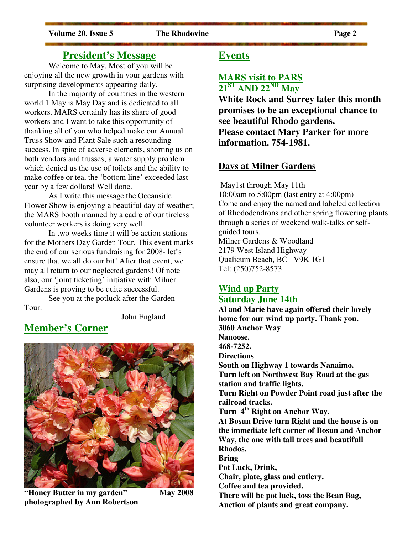# **President's Message**

Welcome to May. Most of you will be enjoying all the new growth in your gardens with surprising developments appearing daily.

In the majority of countries in the western world 1 May is May Day and is dedicated to all workers. MARS certainly has its share of good workers and I want to take this opportunity of thanking all of you who helped make our Annual Truss Show and Plant Sale such a resounding success. In spite of adverse elements, shorting us on both vendors and trusses; a water supply problem which denied us the use of toilets and the ability to make coffee or tea, the 'bottom line' exceeded last year by a few dollars! Well done.

 As I write this message the Oceanside Flower Show is enjoying a beautiful day of weather; the MARS booth manned by a cadre of our tireless volunteer workers is doing very well.

In two weeks time it will be action stations for the Mothers Day Garden Tour. This event marks the end of our serious fundraising for 2008- let's ensure that we all do our bit! After that event, we may all return to our neglected gardens! Of note also, our 'joint ticketing' initiative with Milner Gardens is proving to be quite successful.

 See you at the potluck after the Garden Tour.

John England

# **Member's Corner**



**"Honey Butter in my garden" May 2008 photographed by Ann Robertson**

# **Events**

# **MARS visit to PARS 21ST AND 22ND May**

**White Rock and Surrey later this month promises to be an exceptional chance to see beautiful Rhodo gardens. Please contact Mary Parker for more information. 754-1981.** 

# **Days at Milner Gardens**

 May1st through May 11th 10:00am to 5:00pm (last entry at 4:00pm) Come and enjoy the named and labeled collection of Rhododendrons and other spring flowering plants through a series of weekend walk-talks or selfguided tours. Milner Gardens & Woodland 2179 West Island Highway Qualicum Beach, BC V9K 1G1 Tel: (250)752-8573

# **Wind up Party Saturday June 14th**

**Al and Marie have again offered their lovely home for our wind up party. Thank you. 3060 Anchor Way Nanoose. 468-7252. Directions South on Highway 1 towards Nanaimo. Turn left on Northwest Bay Road at the gas station and traffic lights. Turn Right on Powder Point road just after the railroad tracks. Turn 4th Right on Anchor Way. At Bosun Drive turn Right and the house is on the immediate left corner of Bosun and Anchor Way, the one with tall trees and beautifull Rhodos. Bring Pot Luck, Drink, Chair, plate, glass and cutlery. Coffee and tea provided. There will be pot luck, toss the Bean Bag, Auction of plants and great company.**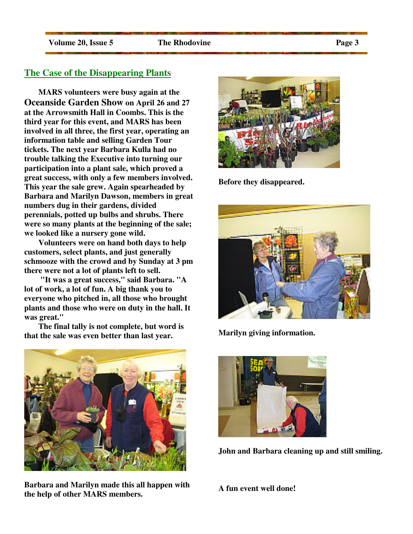### **The Case of the Disappearing Plants**

 **MARS volunteers were busy again at the Oceanside Garden Show on April 26 and 27 at the Arrowsmith Hall in Coombs. This is the third year for this event, and MARS has been involved in all three, the first year, operating an information table and selling Garden Tour tickets. The next year Barbara Kulla had no trouble talking the Executive into turning our participation into a plant sale, which proved a great success, with only a few members involved. This year the sale grew. Again spearheaded by Barbara and Marilyn Dawson, members in great numbers dug in their gardens, divided perennials, potted up bulbs and shrubs. There were so many plants at the beginning of the sale; we looked like a nursery gone wild.** 

 **Volunteers were on hand both days to help customers, select plants, and just generally schmooze with the crowd and by Sunday at 3 pm there were not a lot of plants left to sell.** 

 **"It was a great success," said Barbara. "A lot of work, a lot of fun. A big thank you to everyone who pitched in, all those who brought plants and those who were on duty in the hall. It was great."** 

 **The final tally is not complete, but word is that the sale was even better than last year.** 



**Barbara and Marilyn made this all happen with the help of other MARS members.** 



**Before they disappeared.** 



**Marilyn giving information.** 



**John and Barbara cleaning up and still smiling.** 

**A fun event well done!**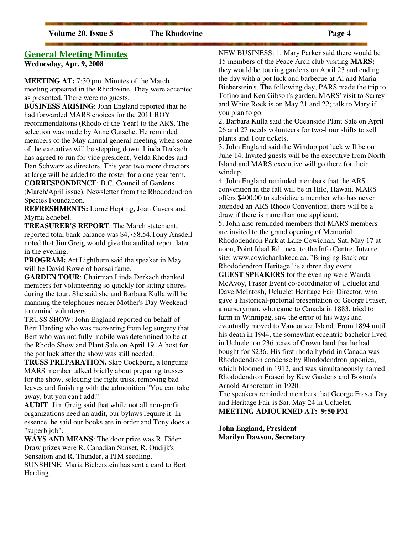# **General Meeting Minutes**

**Wednesday, Apr. 9, 2008** 

**MEETING AT:** 7:30 pm. Minutes of the March meeting appeared in the Rhodovine. They were accepted as presented. There were no guests.

**BUSINESS ARISING**: John England reported that he had forwarded MARS choices for the 2011 ROY recommendations (Rhodo of the Year) to the ARS. The selection was made by Anne Gutsche. He reminded members of the May annual general meeting when some of the executive will be stepping down. Linda Derkach has agreed to run for vice president; Velda Rhodes and Dan Schwarz as directors. This year two more directors at large will be added to the roster for a one year term.

**CORRESPONDENCE**: B.C. Council of Gardens (March/April issue). Newsletter from the Rhododendron Species Foundation.

**REFRESHMENTS:** Lorne Hepting, Joan Cavers and Myrna Schebel.

**TREASURER'S REPORT**: The March statement, reported total bank balance was \$4,758.54.Tony Ansdell noted that Jim Greig would give the audited report later in the evening.

**PROGRAM:** Art Lightburn said the speaker in May will be David Rowe of bonsai fame.

**GARDEN TOUR**: Chairman Linda Derkach thanked members for volunteering so quickly for sitting chores during the tour. She said she and Barbara Kulla will be manning the telephones nearer Mother's Day Weekend to remind volunteers.

TRUSS SHOW: John England reported on behalf of Bert Harding who was recovering from leg surgery that Bert who was not fully mobile was determined to be at the Rhodo Show and Plant Sale on April 19. A host for the pot luck after the show was still needed.

**TRUSS PREPARATION.** Skip Cockburn, a longtime MARS member talked briefly about preparing trusses for the show, selecting the right truss, removing bad leaves and finishing with the admonition "You can take away, but you can't add."

**AUDIT**: Jim Greig said that while not all non-profit organizations need an audit, our bylaws require it. In essence, he said our books are in order and Tony does a "superb job".

**WAYS AND MEANS**: The door prize was R. Eider. Draw prizes were R. Canadian Sunset, R. Oudijk's Sensation and R. Thunder, a PJM seedling. SUNSHINE: Maria Bieberstein has sent a card to Bert Harding.

NEW BUSINESS: 1. Mary Parker said there would be 15 members of the Peace Arch club visiting **MARS;**  they would be touring gardens on April 23 and ending the day with a pot luck and barbecue at Al and Maria Bieberstein's. The following day, PARS made the trip to Tofino and Ken Gibson's garden. MARS' visit to Surrey and White Rock is on May 21 and 22; talk to Mary if you plan to go.

2. Barbara Kulla said the Oceanside Plant Sale on April 26 and 27 needs volunteers for two-hour shifts to sell plants and Tour tickets.

3. John England said the Windup pot luck will be on June 14. Invited guests will be the executive from North Island and MARS executive will go there for their windup.

4. John England reminded members that the ARS convention in the fall will be in Hilo, Hawaii. MARS offers \$400.00 to subsidize a member who has never attended an ARS Rhodo Convention; there will be a draw if there is more than one applicant.

5. John also reminded members that MARS members are invited to the grand opening of Memorial Rhododendron Park at Lake Cowichan, Sat. May 17 at noon, Point Ideal Rd., next to the Info Centre. Internet site: www.cowichanlakecc.ca. "Bringing Back our Rhododendron Heritage" is a three day event.

**GUEST SPEAKERS** for the evening were Wanda McAvoy, Fraser Event co-coordinator of Ucluelet and Dave McIntosh, Ucluelet Heritage Fair Director, who gave a historical-pictorial presentation of George Fraser, a nurseryman, who came to Canada in 1883, tried to farm in Winnipeg, saw the error of his ways and eventually moved to Vancouver Island. From 1894 until his death in 1944, the somewhat eccentric bachelor lived in Ucluelet on 236 acres of Crown land that he had bought for \$236. His first rhodo hybrid in Canada was Rhododendron condense by Rhododendron japonica, which bloomed in 1912, and was simultaneously named Rhododendron Fraseri by Kew Gardens and Boston's Arnold Arboretum in 1920.

The speakers reminded members that George Fraser Day and Heritage Fair is Sat. May 24 in Ucluelet**. MEETING ADJOURNED AT: 9:50 PM** 

**John England, President Marilyn Dawson, Secretary**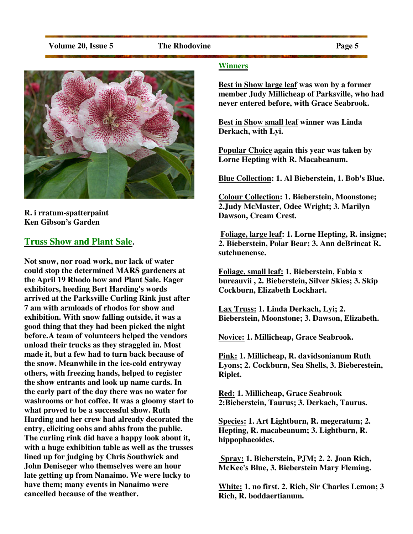

# **R. i rratum-spatterpaint Ken Gibson's Garden**

# **Truss Show and Plant Sale.**

**Not snow, nor road work, nor lack of water could stop the determined MARS gardeners at the April 19 Rhodo how and Plant Sale. Eager exhibitors, heeding Bert Harding's words arrived at the Parksville Curling Rink just after 7 am with armloads of rhodos for show and exhibition. With snow falling outside, it was a good thing that they had been picked the night before. A team of volunteers helped the vendors unload their trucks as they straggled in. Most made it, but a few had to turn back because of the snow. Meanwhile in the ice-cold entryway others, with freezing hands, helped to register the show entrants and look up name cards. In the early part of the day there was no water for washrooms or hot coffee. It was a gloomy start to what proved to be a successful show. Ruth Harding and her crew had already decorated the entry, eliciting oohs and ahhs from the public. The curling rink did have a happy look about it, with a huge exhibition table as well as the trusses lined up for judging by Chris Southwick and John Deniseger who themselves were an hour late getting up from Nanaimo. We were lucky to have them; many events in Nanaimo were cancelled because of the weather.** 

#### **Winners**

**Best in Show large leaf was won by a former member Judy Millicheap of Parksville, who had never entered before, with Grace Seabrook.** 

**Best in Show small leaf winner was Linda Derkach, with Lyi.** 

**Popular Choice again this year was taken by Lorne Hepting with R. Macabeanum.** 

**Blue Collection: 1. Al Bieberstein, 1. Bob's Blue.** 

**Colour Collection: 1. Bieberstein, Moonstone; 2.Judy McMaster, Odee Wright; 3. Marilyn Dawson, Cream Crest.** 

 **Foliage, large leaf: 1. Lorne Hepting, R. insigne; 2. Bieberstein, Polar Bear; 3. Ann deBrincat R. sutchuenense.** 

**Foliage, small leaf: 1. Bieberstein, Fabia x bureauvii , 2. Bieberstein, Silver Skies; 3. Skip Cockburn, Elizabeth Lockhart.** 

**Lax Truss: 1. Linda Derkach, Lyi; 2. Bieberstein, Moonstone; 3. Dawson, Elizabeth.** 

**Novice: 1. Millicheap, Grace Seabrook.** 

**Pink: 1. Millicheap, R. davidsonianum Ruth Lyons; 2. Cockburn, Sea Shells, 3. Bieberestein, Riplet.** 

**Red: 1. Millicheap, Grace Seabrook 2:Bieberstein, Taurus; 3. Derkach, Taurus.** 

**Species: 1. Art Lightburn, R. megeratum; 2. Hepting, R. macabeanum; 3. Lightburn, R. hippophaeoides.** 

 **Spray: 1. Bieberstein, PJM; 2. 2. Joan Rich, McKee's Blue, 3. Bieberstein Mary Fleming.** 

**White: 1. no first. 2. Rich, Sir Charles Lemon; 3 Rich, R. boddaertianum.**